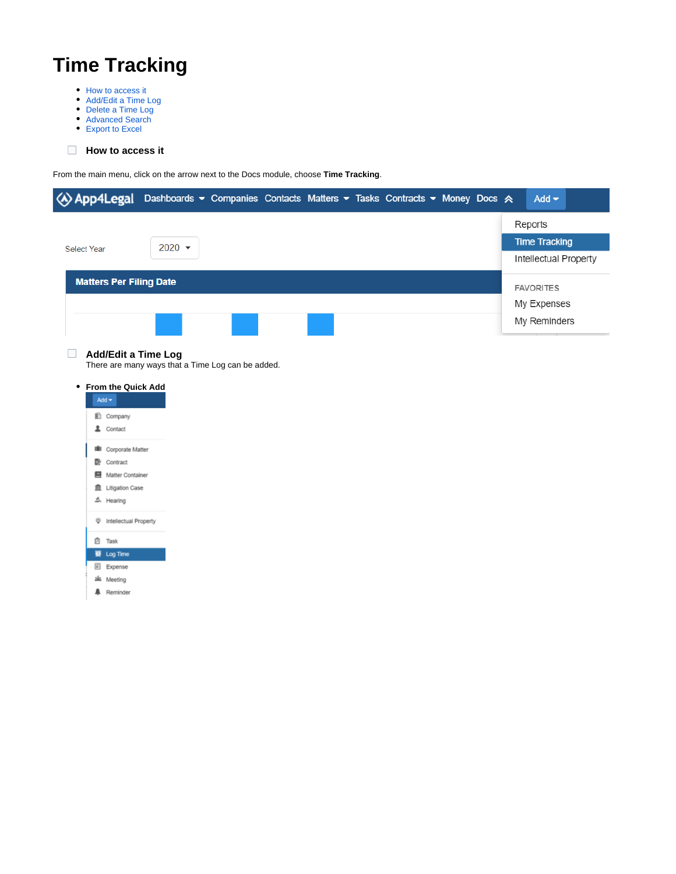# **Time Tracking**

- [How to access it](https://documentation.app4legal.com/display/A4L/Time+Tracking#TimeTracking-Howtoaccessit)
- [Add/Edit a Time Log](https://documentation.app4legal.com/display/A4L/Time+Tracking#TimeTracking-Add/EditaTimeLog)
- [Delete a Time Log](https://documentation.app4legal.com/display/A4L/Time+Tracking#TimeTracking-DeleteaTimeLog)
- [Advanced Search](https://documentation.app4legal.com/display/A4L/Time+Tracking#TimeTracking-AdvancedSearch) [Export to Excel](https://documentation.app4legal.com/display/A4L/Time+Tracking#TimeTracking-ExporttoExcel)

## **How to access it**

From the main menu, click on the arrow next to the Docs module, choose **Time Tracking**.

|                                                                    | « App4Legal Dashboards • Companies Contacts Matters • Tasks Contracts • Money Docs & | Add $\blacktriangledown$ |
|--------------------------------------------------------------------|--------------------------------------------------------------------------------------|--------------------------|
|                                                                    |                                                                                      | Reports                  |
| <b>Select Year</b>                                                 | $2020 -$                                                                             | <b>Time Tracking</b>     |
|                                                                    |                                                                                      | Intellectual Property    |
| <b>Matters Per Filing Date</b>                                     |                                                                                      | <b>FAVORITES</b>         |
|                                                                    |                                                                                      | My Expenses              |
|                                                                    |                                                                                      | My Reminders             |
| <b>From the Quick Add</b><br>٠<br>Add $\star$<br><b>In</b> Company | There are many ways that a Time Log can be added.                                    |                          |
| L Contact                                                          |                                                                                      |                          |
| <b>III</b> Corporate Matter<br>Contract                            |                                                                                      |                          |
| 图 Matter Container                                                 |                                                                                      |                          |
| <sup> Litigation Case</sup>                                        |                                                                                      |                          |
| 소 Hearing                                                          |                                                                                      |                          |
| The Intellectual Property                                          |                                                                                      |                          |
|                                                                    |                                                                                      |                          |



**A** Reminder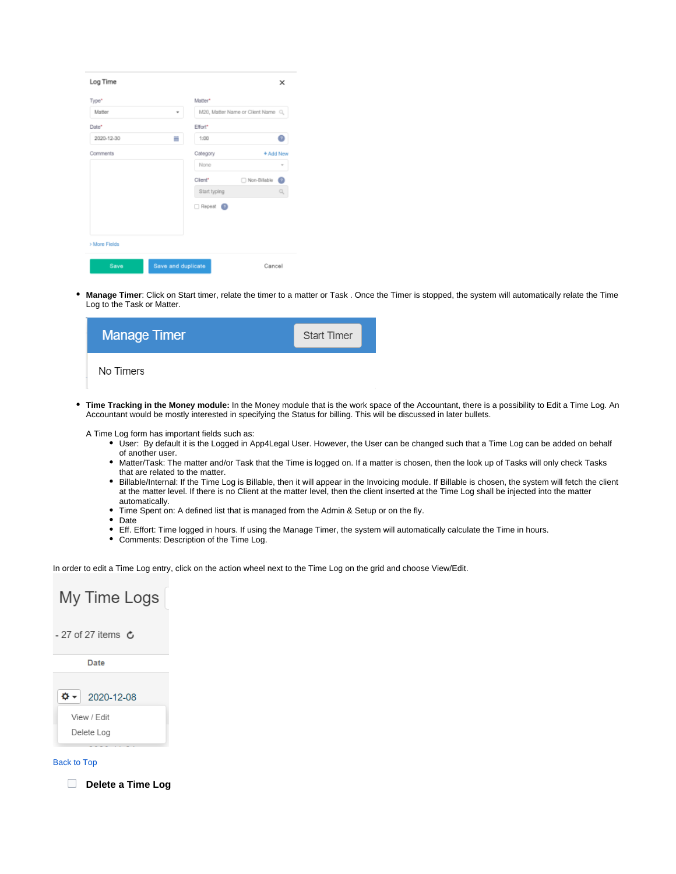| Log Time      |                    |                 |                                   | ×      |
|---------------|--------------------|-----------------|-----------------------------------|--------|
| Type*         |                    | Matter*         |                                   |        |
| Matter        | ٠                  |                 | M20, Matter Name or Client Name Q |        |
| Date*         |                    | Effort*         |                                   |        |
| 2020-12-30    | Ħ                  | 1:00            |                                   | n      |
| Comments      |                    | Category        | + Add New                         |        |
|               |                    | None            |                                   | $\sim$ |
|               |                    | Client*         | Non-Billable                      | n      |
|               |                    | Start typing    |                                   | q      |
|               |                    | Repeat <b>O</b> |                                   |        |
|               |                    |                 |                                   |        |
|               |                    |                 |                                   |        |
| > More Fields |                    |                 |                                   |        |
|               |                    |                 |                                   |        |
| Save          | Save and duplicate |                 | Cancel                            |        |

 $\bullet$ **Manage Timer**: Click on Start timer, relate the timer to a matter or Task . Once the Timer is stopped, the system will automatically relate the Time Log to the Task or Matter.

| <b>Manage Timer</b> | <b>Start Timer</b> |  |
|---------------------|--------------------|--|
| No Timers           |                    |  |

**Time Tracking in the Money module:** In the Money module that is the work space of the Accountant, there is a possibility to Edit a Time Log. An Accountant would be mostly interested in specifying the Status for billing. This will be discussed in later bullets.

A Time Log form has important fields such as:

- User: By default it is the Logged in App4Legal User. However, the User can be changed such that a Time Log can be added on behalf of another user.
- Matter/Task: The matter and/or Task that the Time is logged on. If a matter is chosen, then the look up of Tasks will only check Tasks that are related to the matter.
- Billable/Internal: If the Time Log is Billable, then it will appear in the Invoicing module. If Billable is chosen, the system will fetch the client at the matter level. If there is no Client at the matter level, then the client inserted at the Time Log shall be injected into the matter automatically.
- Time Spent on: A defined list that is managed from the Admin & Setup or on the fly.
- Date
- Eff. Effort: Time logged in hours. If using the Manage Timer, the system will automatically calculate the Time in hours.
- Comments: Description of the Time Log.

In order to edit a Time Log entry, click on the action wheel next to the Time Log on the grid and choose View/Edit.

## My Time Logs - 27 of 27 items  $\mathbf c$ Date ۰ ۵ 2020-12-08 View / Edit Delete Log

#### [Back to Top](https://documentation.app4legal.com/display/A4L/Time+Tracking#main)

**Delete a Time Log**